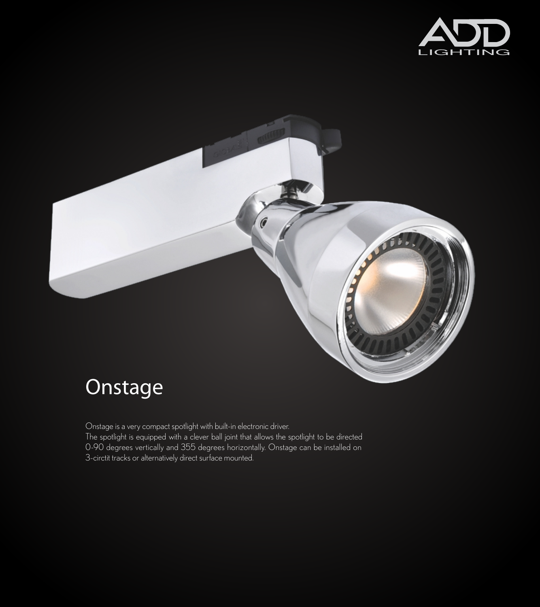



# **Onstage**

Onstage is a very compact spotlight with built-in electronic driver.

The spotlight is equipped with a clever ball joint that allows the spotlight to be directed 0-90 degrees vertically and 355 degrees horizontally. Onstage can be installed on 3-circtit tracks or alternatively direct surface mounted.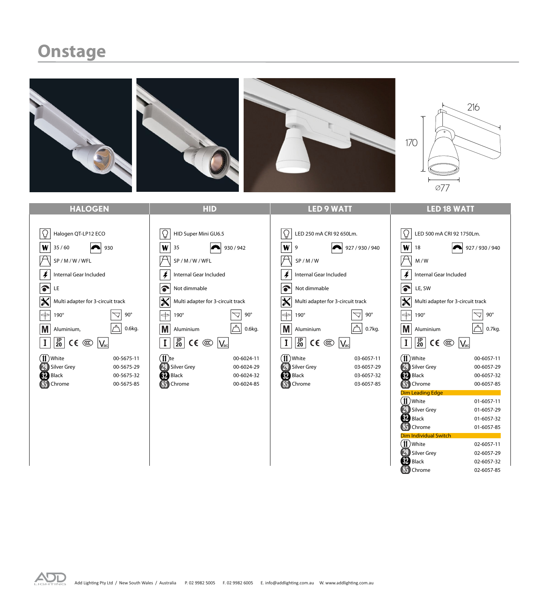### **Onstage**

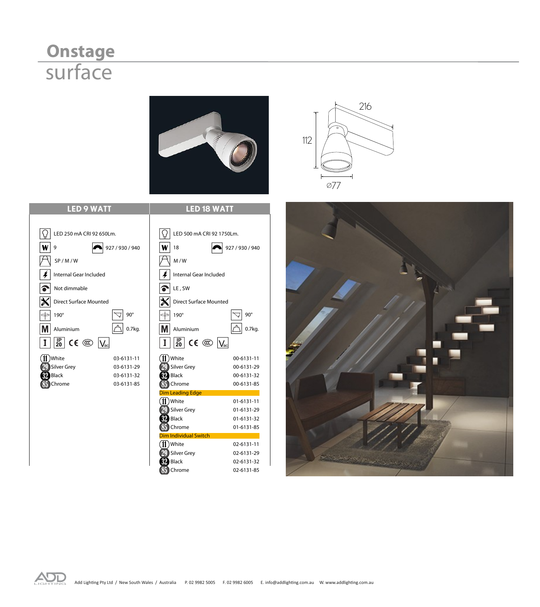## **Onstage** surface









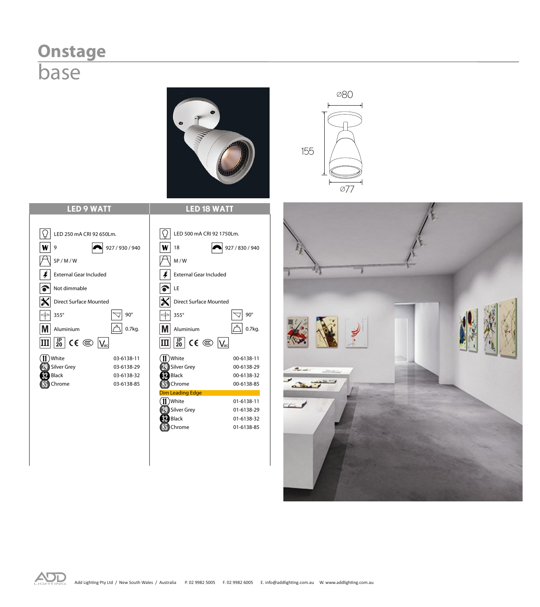### **Onstage** base

 $\overline{W}$  9

 $\left| \boldsymbol{\ast} \right|$ 

**IP 20**

32 85









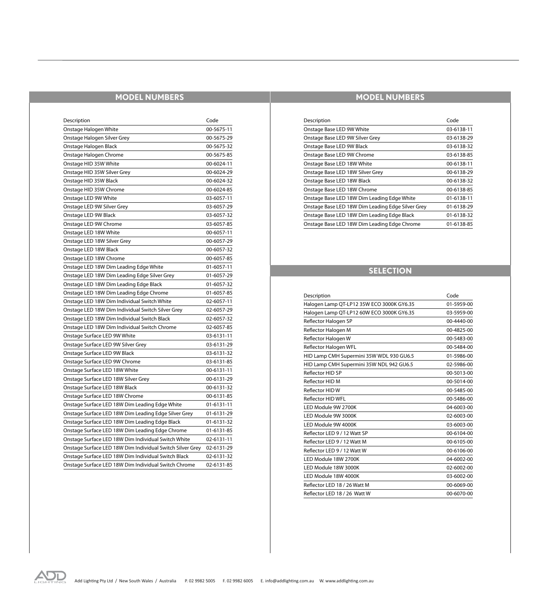#### **MODEL NUMBERS**

| Description                                               | Code       |
|-----------------------------------------------------------|------------|
| Onstage Halogen White                                     | 00-5675-11 |
| Onstage Halogen Silver Grey                               | 00-5675-29 |
| Onstage Halogen Black                                     | 00-5675-32 |
| Onstage Halogen Chrome                                    | 00-5675-85 |
| Onstage HID 35W White                                     | 00-6024-11 |
| Onstage HID 35W Silver Grey                               | 00-6024-29 |
| Onstage HID 35W Black                                     | 00-6024-32 |
| Onstage HID 35W Chrome                                    | 00-6024-85 |
| Onstage LED 9W White                                      | 03-6057-11 |
| Onstage LED 9W Silver Grey                                | 03-6057-29 |
| Onstage LED 9W Black                                      | 03-6057-32 |
| Onstage LED 9W Chrome                                     | 03-6057-85 |
| Onstage LED 18W White                                     | 00-6057-11 |
| Onstage LED 18W Silver Grey                               | 00-6057-29 |
| Onstage LED 18W Black                                     | 00-6057-32 |
| Onstage LED 18W Chrome                                    | 00-6057-85 |
| Onstage LED 18W Dim Leading Edge White                    | 01-6057-11 |
| Onstage LED 18W Dim Leading Edge Silver Grey              | 01-6057-29 |
| Onstage LED 18W Dim Leading Edge Black                    | 01-6057-32 |
| Onstage LED 18W Dim Leading Edge Chrome                   | 01-6057-85 |
| Onstage LED 18W Dim Individual Switch White               | 02-6057-11 |
| Onstage LED 18W Dim Individual Switch Silver Grey         | 02-6057-29 |
| Onstage LED 18W Dim Individual Switch Black               | 02-6057-32 |
| Onstage LED 18W Dim Individual Switch Chrome              | 02-6057-85 |
| Onstage Surface LED 9W White                              | 03-6131-11 |
| Onstage Surface LED 9W Silver Grey                        | 03-6131-29 |
| Onstage Surface LED 9W Black                              | 03-6131-32 |
| Onstage Surface LED 9W Chrome                             | 03-6131-85 |
| Onstage Surface LED 18W White                             | 00-6131-11 |
| Onstage Surface LED 18W Silver Grey                       | 00-6131-29 |
| Onstage Surface LED 18W Black                             | 00-6131-32 |
| Onstage Surface LED 18W Chrome                            | 00-6131-85 |
| Onstage Surface LED 18W Dim Leading Edge White            | 01-6131-11 |
| Onstage Surface LED 18W Dim Leading Edge Silver Grey      | 01-6131-29 |
| Onstage Surface LED 18W Dim Leading Edge Black            | 01-6131-32 |
| Onstage Surface LED 18W Dim Leading Edge Chrome           | 01-6131-85 |
| Onstage Surface LED 18W Dim Individual Switch White       | 02-6131-11 |
| Onstage Surface LED 18W Dim Individual Switch Silver Grey | 02-6131-29 |
| Onstage Surface LED 18W Dim Individual Switch Black       | 02-6131-32 |
| Onstage Surface LED 18W Dim Individual Switch Chrome      | 02-6131-85 |

#### **MODEL NUMBERS**

| Description                                       | Code       |
|---------------------------------------------------|------------|
| Onstage Base LED 9W White                         | 03-6138-11 |
| Onstage Base LED 9W Silver Grey                   | 03-6138-29 |
| Onstage Base LED 9W Black                         | 03-6138-32 |
| Onstage Base LED 9W Chrome                        | 03-6138-85 |
| Onstage Base LED 18W White                        | 00-6138-11 |
| Onstage Base LED 18W Silver Grey                  | 00-6138-29 |
| Onstage Base LED 18W Black                        | 00-6138-32 |
| Onstage Base LED 18W Chrome                       | 00-6138-85 |
| Onstage Base LED 18W Dim Leading Edge White       | 01-6138-11 |
| Onstage Base LED 18W Dim Leading Edge Silver Grey | 01-6138-29 |
| Onstage Base LED 18W Dim Leading Edge Black       | 01-6138-32 |
| Onstage Base LED 18W Dim Leading Edge Chrome      | 01-6138-85 |

#### **SELECTION**

| Description                               | Code       |
|-------------------------------------------|------------|
| Halogen Lamp QT-LP12 35W ECO 3000K GY6.35 | 01-5959-00 |
| Halogen Lamp QT-LP12 60W ECO 3000K GY6.35 | 03-5959-00 |
| Reflector Halogen SP                      | 00-4440-00 |
| Reflector Halogen M                       | 00-4825-00 |
| Reflector Halogen W                       | 00-5483-00 |
| Reflector Halogen WFL                     | 00-5484-00 |
| HID Lamp CMH Supermini 35W WDL 930 GU6.5  | 01-5986-00 |
| HID Lamp CMH Supermini 35W NDL 942 GU6.5  | 02-5986-00 |
| <b>Reflector HID SP</b>                   | 00-5013-00 |
| Reflector HID M                           | 00-5014-00 |
| Reflector HIDW                            | 00-5485-00 |
| Reflector HID WFL                         | 00-5486-00 |
| LED Module 9W 2700K                       | 04-6003-00 |
| LED Module 9W 3000K                       | 02-6003-00 |
| LED Module 9W 4000K                       | 03-6003-00 |
| Reflector LED 9 / 12 Watt SP              | 00-6104-00 |
| Reflector LED 9 / 12 Watt M               | 00-6105-00 |
| Reflector LED 9 / 12 Watt W               | 00-6106-00 |
| LED Module 18W 2700K                      | 04-6002-00 |
| LED Module 18W 3000K                      | 02-6002-00 |
| LED Module 18W 4000K                      | 03-6002-00 |
| Reflector LED 18 / 26 Watt M              | 00-6069-00 |
| Reflector LED 18 / 26 Watt W              | 00-6070-00 |
|                                           |            |